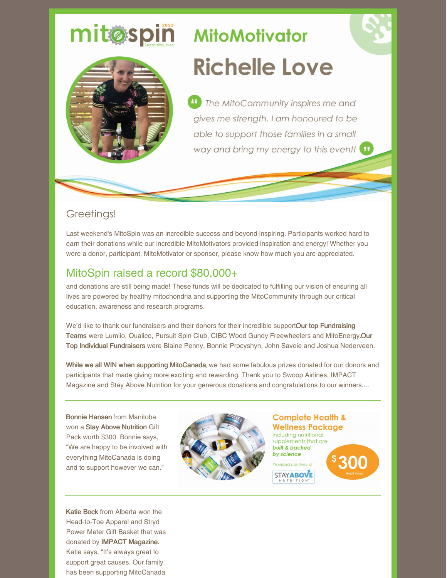# **MitoMotivator Richelle Love**

<sup>4</sup> The MitoCommunity inspires me and gives me strength. I am honoured to be able to support those families in a small way and bring my energy to this event!

### Greetings!

mitosping

Last weekend's MitoSpin was an incredible success and beyond inspiring. Participants worked hard to earn their donations while our incredible MitoMotivators provided inspiration and energy! Whether you were a donor, participant, MitoMotivator or sponsor, please know how much you are appreciated.

## MitoSpin raised a record \$80,000+

and donations are still being made! These funds will be dedicated to fulfilling our vision of ensuring all lives are powered by healthy mitochondria and supporting the MitoCommunity through our critical education, awareness and research programs.

We'd like to thank our fundraisers and their donors for their incredible supportOur top Fundraising Teams were Lumiio, Qualico, Pursuit Spin Club, CIBC Wood Gundy Freewheelers and MitoEnergy.Our Top Individual Fundraisers were Blaine Penny, Bonnie Procyshyn, John Savoie and Joshua Nederveen.

While we all WIN when supporting MitoCanada, we had some fabulous prizes donated for our donors and participants that made giving more exciting and rewarding. Thank you to Swoop Airlines, IMPACT Magazine and Stay Above Nutrition for your generous donations and congratulations to our winners....

Bonnie Hansen from Manitoba won a Stay Above Nutrition Gift Pack worth \$300. Bonnie says, "We are happy to be involved with everything MitoCanada is doing and to support however we can."

Katie Bock from Alberta won the Head-to-Toe Apparel and Stryd Power Meter Gift Basket that was donated by IMPACT Magazine. Katie says, "It's always great to support great causes. Our family has been supporting MitoCanada



**Complete Health & Wellness Package** including nutritional

supplements that are **built & backed** by science Provided courtesy of

**STAYABOVE**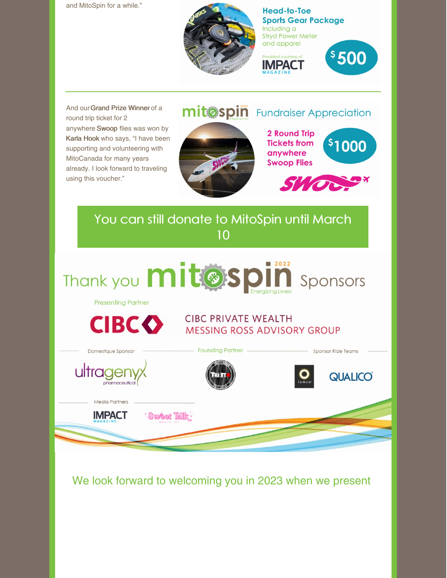and MitoSpin for a while."



**Head-to-Toe Sports Gear Package** Including a **Stryd Power Meter** and apparel



And our Grand Prize Winner of a round trip ticket for 2 anywhere Swoop flies was won by Karla Hook who says, "I have been supporting and volunteering with MitoCanada for many years already. I look forward to traveling using this voucher."

## mitospin Fundraiser Appreciation



**2 Round Trip Tickets from** anywhere **Swoop Flies** 





### You can still donate to [MitoSpin](https://www.canadahelps.org/en/charities/mitocanada-foundation/p2p/MitoSpin2022/) until March 10 ■ 2022 Thank you mit@spi Sponsors **Presenting Partner CIBC PRIVATE WEALTH CIBCO MESSING ROSS ADVISORY GROUP** Domestique Sponsor **Founding Partner Sponsor Ride Teams** ultrager **QUALICO** pharmaceutico Media Partners **IMPACT Sweet Talk**

We look forward to welcoming you in 2023 when we present